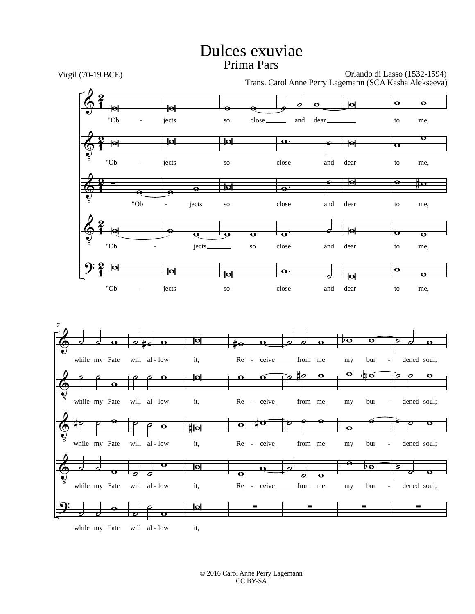## Dulces exuviae Prima Pars



© 2016 Carol Anne Perry Lagemann CC BY-SA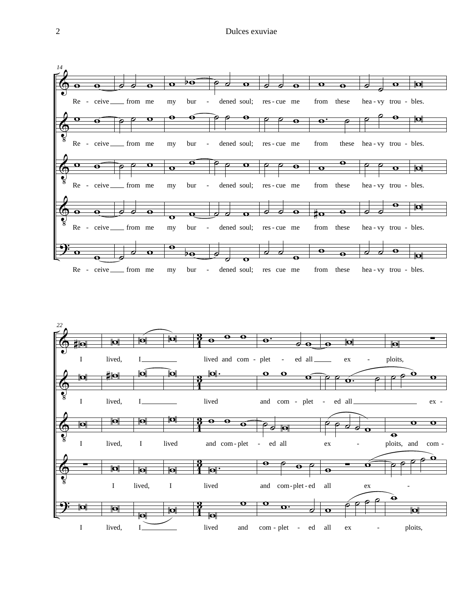

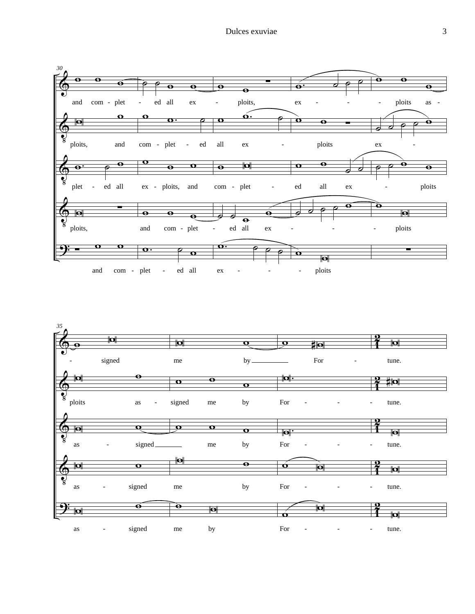

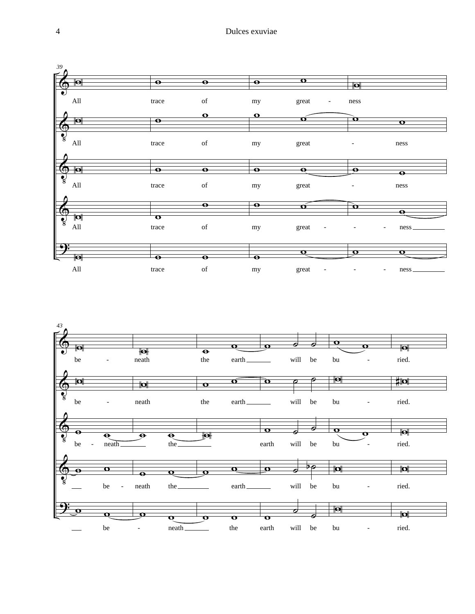

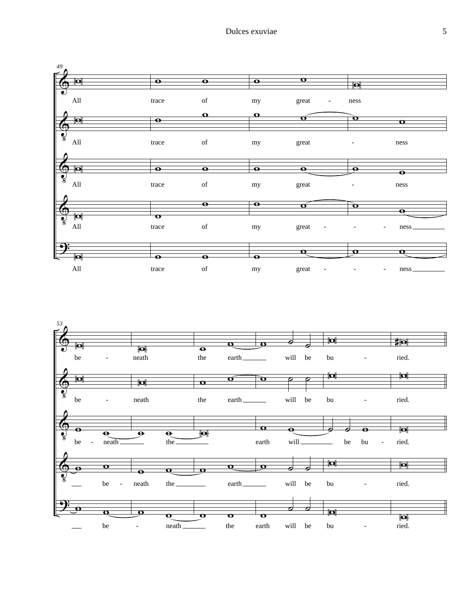

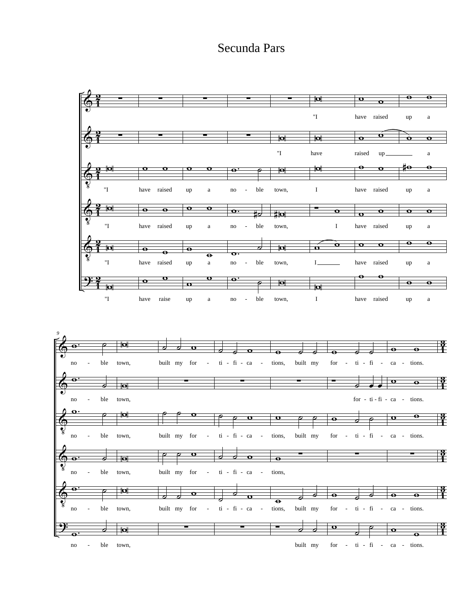## Secunda Pars

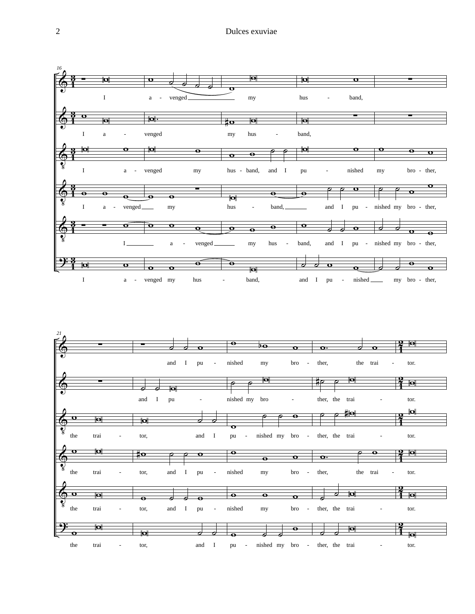

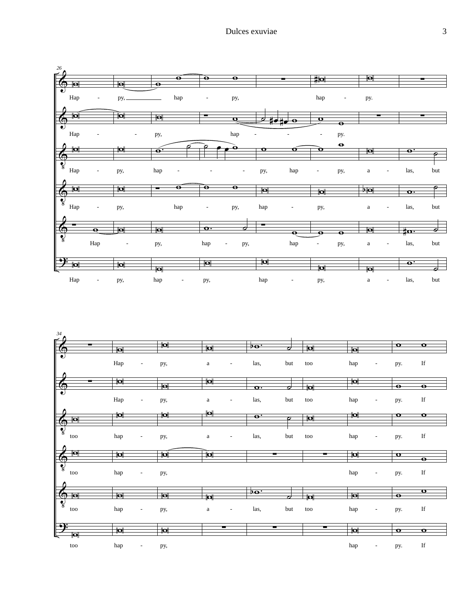

| 34                                             |                                 |                         |                                          |                            |     |                         |                         |                                 |                      |
|------------------------------------------------|---------------------------------|-------------------------|------------------------------------------|----------------------------|-----|-------------------------|-------------------------|---------------------------------|----------------------|
| ┳                                              | $ \mathbf{o} $                  | $\overline{\mathbf{p}}$ | $\overline{\mathbf{p}}$                  | $\overline{p\mathbf{o}}$ . | ø   | $\overline{\mathbf{p}}$ | Ю                       | $\mathbf{o}$                    | $\mathbf{o}$         |
| <b>FOR</b><br>║<br>Λ                           | Hap<br>$\overline{\phantom{a}}$ | py,                     | $\mathbf{a}$<br>$\overline{\phantom{a}}$ | las,                       | but | too                     | hap                     | py.<br>$\qquad \qquad -$        | If                   |
|                                                | $ \mathbf{Q} $                  |                         | $ \mathbf{Q} $                           |                            |     |                         | $\overline{\mathbf{p}}$ |                                 |                      |
| $\frac{1}{\sqrt{2}}$                           |                                 | Ю                       |                                          | $\overline{\mathbf{o}}$ .  | 7   | $\overline{\mathbf{p}}$ |                         | $\overline{\bullet}$            | $\overline{\bullet}$ |
|                                                | Hap<br>$\overline{\phantom{a}}$ | py,                     | $\rm{a}$<br>$\overline{\phantom{a}}$     | las,                       | but | too                     | hap                     | py.<br>$\overline{\phantom{a}}$ | $_{\rm If}$          |
| Λ                                              | $ \Omega $                      | <b>d</b>                | $\overline{\mathbf{P}}$                  | $\overline{\mathbf{e}}$    |     |                         | $ \mathbf{Q} $          | $\mathbf o$                     | $\mathbf o$          |
| $\blacksquare$                                 |                                 |                         |                                          |                            | 7   | $\overline{\mathbf{p}}$ |                         |                                 |                      |
| $\bigcirc$<br>too<br>Δ                         | hap<br>$\overline{\phantom{a}}$ | py,                     | $\rm{a}$<br>$\overline{a}$               | las,                       | but | too                     | hap                     | py.<br>٠                        | $_{\rm If}$          |
| $ \mathbf{o} $                                 | $\overline{\mathbf{p}}$         | 1ol                     | $\overline{\mathbf{p}}$                  |                            | ▬   | ▬                       | $\overline{\mathbf{p}}$ | $\mathbf{o}$                    |                      |
|                                                |                                 |                         |                                          |                            |     |                         |                         |                                 | $\bullet$            |
| <b>POP</b><br>$\parallel$<br>too               | hap<br>$\overline{\phantom{a}}$ | py,                     |                                          |                            |     |                         | hap                     | py.<br>٠                        | $_{\rm If}$          |
| $\overrightarrow{r}$                           |                                 |                         |                                          | $b\mathbf{o}$ .            |     |                         |                         |                                 | $\mathbf{o}$         |
| $\overline{\bullet}$                           | Ю                               | $\blacksquare$          | $ \mathbf{Q} $                           |                            | ↗   | $\overline{\mathbf{p}}$ | $\blacksquare$          | $\bullet$                       |                      |
| $\frac{\Theta}{\Omega}$<br>too<br>$\mathbb{I}$ | hap<br>$\overline{\phantom{a}}$ | py,                     | $\mathbf{a}$<br>$\overline{\phantom{a}}$ | las,                       | but | too                     | hap                     | py.<br>$\qquad \qquad -$        | $_{\rm If}$          |
| $\rightarrow$                                  |                                 |                         | т                                        |                            | ╾   | ╾                       |                         |                                 |                      |
| 同                                              | $\overline{\mathbf{p}}$         | $\overline{\mathbf{p}}$ |                                          |                            |     |                         | $\overline{\mathbf{p}}$ | $\mathbf o$                     | $\mathbf o$          |
| $\,\rm too$                                    | hap                             | py,                     |                                          |                            |     |                         | hap                     | py.                             | $_{\rm If}$          |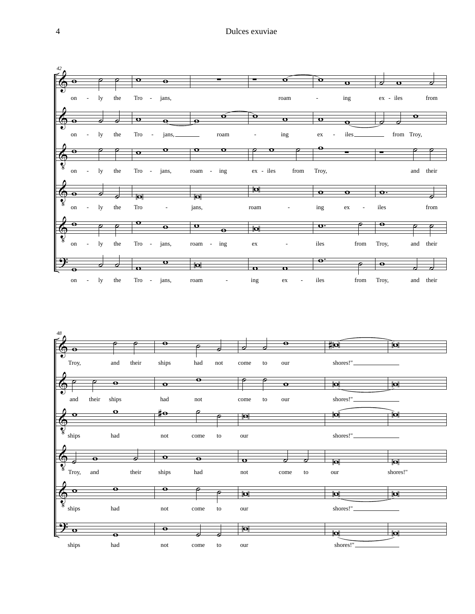

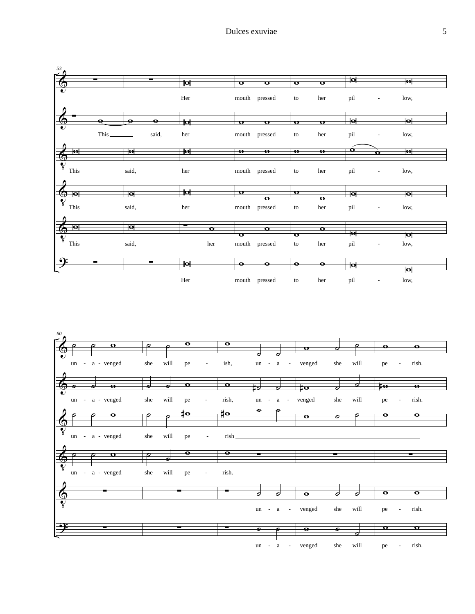

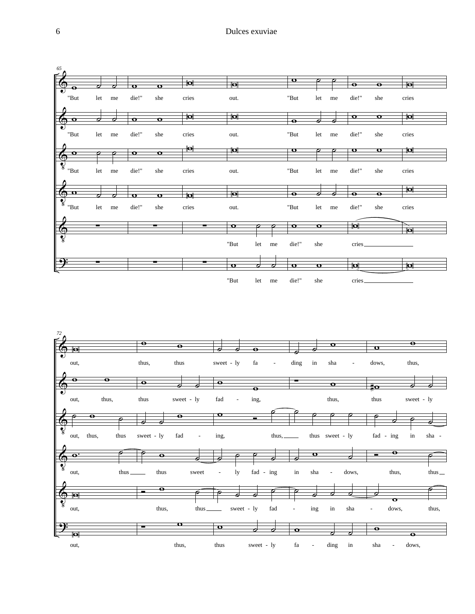

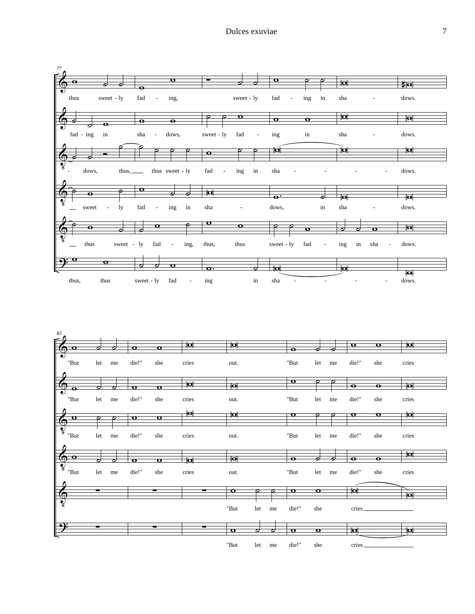